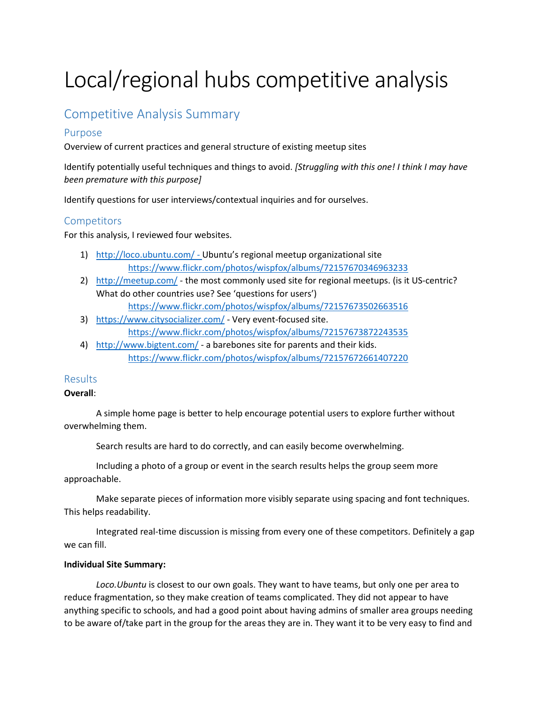# Local/regional hubs competitive analysis

# Competitive Analysis Summary

#### Purpose

Overview of current practices and general structure of existing meetup sites

Identify potentially useful techniques and things to avoid. *[Struggling with this one! I think I may have been premature with this purpose]*

Identify questions for user interviews/contextual inquiries and for ourselves.

#### **Competitors**

For this analysis, I reviewed four websites.

- 1) <http://loco.ubuntu.com/> Ubuntu's regional meetup organizational site <https://www.flickr.com/photos/wispfox/albums/72157670346963233>
- 2) <http://meetup.com/> the most commonly used site for regional meetups. (is it US-centric? What do other countries use? See 'questions for users')

<https://www.flickr.com/photos/wispfox/albums/72157673502663516>

- 3) <https://www.citysocializer.com/> Very event-focused site. <https://www.flickr.com/photos/wispfox/albums/72157673872243535>
- 4) <http://www.bigtent.com/> a barebones site for parents and their kids. <https://www.flickr.com/photos/wispfox/albums/72157672661407220>

### Results

#### **Overall**:

A simple home page is better to help encourage potential users to explore further without overwhelming them.

Search results are hard to do correctly, and can easily become overwhelming.

Including a photo of a group or event in the search results helps the group seem more approachable.

Make separate pieces of information more visibly separate using spacing and font techniques. This helps readability.

Integrated real-time discussion is missing from every one of these competitors. Definitely a gap we can fill.

#### **Individual Site Summary:**

*Loco.Ubuntu* is closest to our own goals. They want to have teams, but only one per area to reduce fragmentation, so they make creation of teams complicated. They did not appear to have anything specific to schools, and had a good point about having admins of smaller area groups needing to be aware of/take part in the group for the areas they are in. They want it to be very easy to find and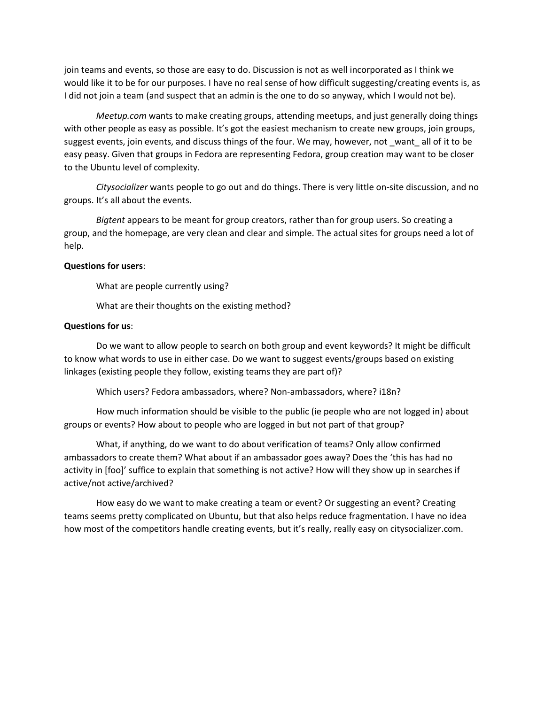join teams and events, so those are easy to do. Discussion is not as well incorporated as I think we would like it to be for our purposes. I have no real sense of how difficult suggesting/creating events is, as I did not join a team (and suspect that an admin is the one to do so anyway, which I would not be).

*Meetup.com* wants to make creating groups, attending meetups, and just generally doing things with other people as easy as possible. It's got the easiest mechanism to create new groups, join groups, suggest events, join events, and discuss things of the four. We may, however, not \_want\_ all of it to be easy peasy. Given that groups in Fedora are representing Fedora, group creation may want to be closer to the Ubuntu level of complexity.

*Citysocializer* wants people to go out and do things. There is very little on-site discussion, and no groups. It's all about the events.

*Bigtent* appears to be meant for group creators, rather than for group users. So creating a group, and the homepage, are very clean and clear and simple. The actual sites for groups need a lot of help.

#### **Questions for users**:

What are people currently using?

What are their thoughts on the existing method?

#### **Questions for us**:

Do we want to allow people to search on both group and event keywords? It might be difficult to know what words to use in either case. Do we want to suggest events/groups based on existing linkages (existing people they follow, existing teams they are part of)?

Which users? Fedora ambassadors, where? Non-ambassadors, where? i18n?

How much information should be visible to the public (ie people who are not logged in) about groups or events? How about to people who are logged in but not part of that group?

What, if anything, do we want to do about verification of teams? Only allow confirmed ambassadors to create them? What about if an ambassador goes away? Does the 'this has had no activity in [foo]' suffice to explain that something is not active? How will they show up in searches if active/not active/archived?

How easy do we want to make creating a team or event? Or suggesting an event? Creating teams seems pretty complicated on Ubuntu, but that also helps reduce fragmentation. I have no idea how most of the competitors handle creating events, but it's really, really easy on citysocializer.com.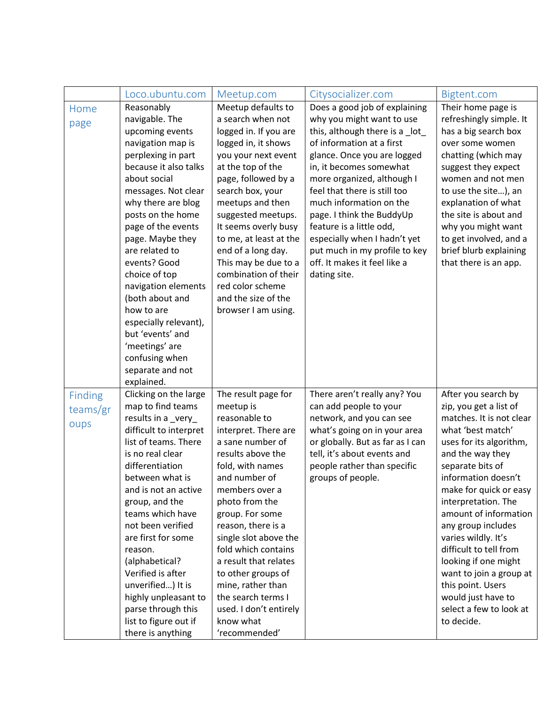|                | Loco.ubuntu.com                     | Meetup.com                        | Citysocializer.com                               | Bigtent.com                             |
|----------------|-------------------------------------|-----------------------------------|--------------------------------------------------|-----------------------------------------|
| Home           | Reasonably                          | Meetup defaults to                | Does a good job of explaining                    | Their home page is                      |
| page           | navigable. The                      | a search when not                 | why you might want to use                        | refreshingly simple. It                 |
|                | upcoming events                     | logged in. If you are             | this, although there is a _lot_                  | has a big search box                    |
|                | navigation map is                   | logged in, it shows               | of information at a first                        | over some women                         |
|                | perplexing in part                  | you your next event               | glance. Once you are logged                      | chatting (which may                     |
|                | because it also talks               | at the top of the                 | in, it becomes somewhat                          | suggest they expect                     |
|                | about social                        | page, followed by a               | more organized, although I                       | women and not men                       |
|                | messages. Not clear                 | search box, your                  | feel that there is still too                     | to use the site), an                    |
|                | why there are blog                  | meetups and then                  | much information on the                          | explanation of what                     |
|                | posts on the home                   | suggested meetups.                | page. I think the BuddyUp                        | the site is about and                   |
|                | page of the events                  | It seems overly busy              | feature is a little odd,                         | why you might want                      |
|                | page. Maybe they                    | to me, at least at the            | especially when I hadn't yet                     | to get involved, and a                  |
|                | are related to                      | end of a long day.                | put much in my profile to key                    | brief blurb explaining                  |
|                | events? Good                        | This may be due to a              | off. It makes it feel like a                     | that there is an app.                   |
|                | choice of top                       | combination of their              | dating site.                                     |                                         |
|                | navigation elements                 | red color scheme                  |                                                  |                                         |
|                | (both about and                     | and the size of the               |                                                  |                                         |
|                | how to are                          | browser I am using.               |                                                  |                                         |
|                | especially relevant),               |                                   |                                                  |                                         |
|                | but 'events' and                    |                                   |                                                  |                                         |
|                | 'meetings' are                      |                                   |                                                  |                                         |
|                | confusing when                      |                                   |                                                  |                                         |
|                | separate and not                    |                                   |                                                  |                                         |
|                | explained.                          |                                   |                                                  |                                         |
| <b>Finding</b> | Clicking on the large               | The result page for               | There aren't really any? You                     | After you search by                     |
| teams/gr       | map to find teams                   | meetup is                         | can add people to your                           | zip, you get a list of                  |
| oups           | results in a _very_                 | reasonable to                     | network, and you can see                         | matches. It is not clear                |
|                | difficult to interpret              | interpret. There are              | what's going on in your area                     | what 'best match'                       |
|                | list of teams. There                | a sane number of                  | or globally. But as far as I can                 | uses for its algorithm,                 |
|                | is no real clear<br>differentiation | results above the                 | tell, it's about events and                      | and the way they                        |
|                | between what is                     | fold, with names<br>and number of | people rather than specific<br>groups of people. | separate bits of<br>information doesn't |
|                | and is not an active                | members over a                    |                                                  | make for quick or easy                  |
|                | group, and the                      | photo from the                    |                                                  | interpretation. The                     |
|                | teams which have                    | group. For some                   |                                                  | amount of information                   |
|                | not been verified                   | reason, there is a                |                                                  | any group includes                      |
|                | are first for some                  | single slot above the             |                                                  | varies wildly. It's                     |
|                | reason.                             | fold which contains               |                                                  | difficult to tell from                  |
|                | (alphabetical?                      | a result that relates             |                                                  | looking if one might                    |
|                | Verified is after                   | to other groups of                |                                                  | want to join a group at                 |
|                | unverified) It is                   | mine, rather than                 |                                                  | this point. Users                       |
|                | highly unpleasant to                | the search terms I                |                                                  | would just have to                      |
|                | parse through this                  | used. I don't entirely            |                                                  | select a few to look at                 |
|                | list to figure out if               | know what                         |                                                  | to decide.                              |
|                | there is anything                   | 'recommended'                     |                                                  |                                         |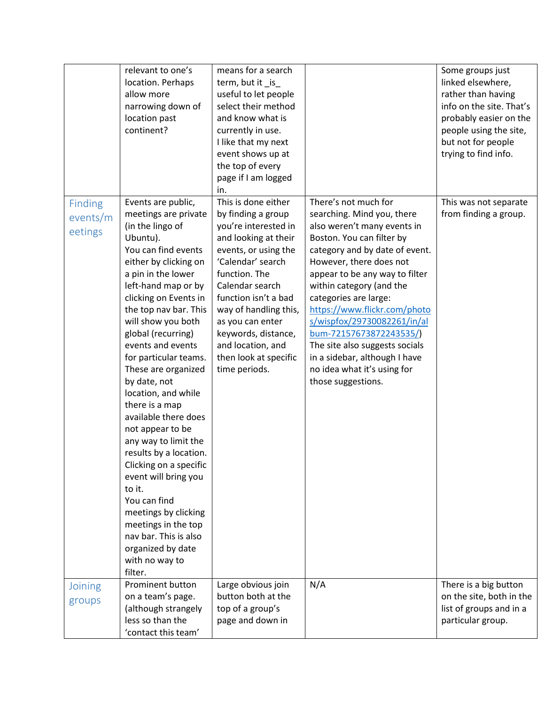|                                       | relevant to one's<br>location. Perhaps<br>allow more<br>narrowing down of<br>location past<br>continent?                                                                                                                                                                                                                                                                                                                                                                                                                                                                                                                                                                                                | means for a search<br>term, but it _is_<br>useful to let people<br>select their method<br>and know what is<br>currently in use.<br>I like that my next<br>event shows up at<br>the top of every<br>page if I am logged<br>in.                                                                                                         |                                                                                                                                                                                                                                                                                                                                                                                                                                                                                     | Some groups just<br>linked elsewhere,<br>rather than having<br>info on the site. That's<br>probably easier on the<br>people using the site,<br>but not for people<br>trying to find info. |
|---------------------------------------|---------------------------------------------------------------------------------------------------------------------------------------------------------------------------------------------------------------------------------------------------------------------------------------------------------------------------------------------------------------------------------------------------------------------------------------------------------------------------------------------------------------------------------------------------------------------------------------------------------------------------------------------------------------------------------------------------------|---------------------------------------------------------------------------------------------------------------------------------------------------------------------------------------------------------------------------------------------------------------------------------------------------------------------------------------|-------------------------------------------------------------------------------------------------------------------------------------------------------------------------------------------------------------------------------------------------------------------------------------------------------------------------------------------------------------------------------------------------------------------------------------------------------------------------------------|-------------------------------------------------------------------------------------------------------------------------------------------------------------------------------------------|
| <b>Finding</b><br>events/m<br>eetings | Events are public,<br>meetings are private<br>(in the lingo of<br>Ubuntu).<br>You can find events<br>either by clicking on<br>a pin in the lower<br>left-hand map or by<br>clicking on Events in<br>the top nav bar. This<br>will show you both<br>global (recurring)<br>events and events<br>for particular teams.<br>These are organized<br>by date, not<br>location, and while<br>there is a map<br>available there does<br>not appear to be<br>any way to limit the<br>results by a location.<br>Clicking on a specific<br>event will bring you<br>to it.<br>You can find<br>meetings by clicking<br>meetings in the top<br>nav bar. This is also<br>organized by date<br>with no way to<br>filter. | This is done either<br>by finding a group<br>you're interested in<br>and looking at their<br>events, or using the<br>'Calendar' search<br>function. The<br>Calendar search<br>function isn't a bad<br>way of handling this,<br>as you can enter<br>keywords, distance,<br>and location, and<br>then look at specific<br>time periods. | There's not much for<br>searching. Mind you, there<br>also weren't many events in<br>Boston. You can filter by<br>category and by date of event.<br>However, there does not<br>appear to be any way to filter<br>within category (and the<br>categories are large:<br>https://www.flickr.com/photo<br>s/wispfox/29730082261/in/al<br>bum-72157673872243535/<br>The site also suggests socials<br>in a sidebar, although I have<br>no idea what it's using for<br>those suggestions. | This was not separate<br>from finding a group.                                                                                                                                            |
| Joining<br>groups                     | Prominent button<br>on a team's page.<br>(although strangely<br>less so than the<br>'contact this team'                                                                                                                                                                                                                                                                                                                                                                                                                                                                                                                                                                                                 | Large obvious join<br>button both at the<br>top of a group's<br>page and down in                                                                                                                                                                                                                                                      | N/A                                                                                                                                                                                                                                                                                                                                                                                                                                                                                 | There is a big button<br>on the site, both in the<br>list of groups and in a<br>particular group.                                                                                         |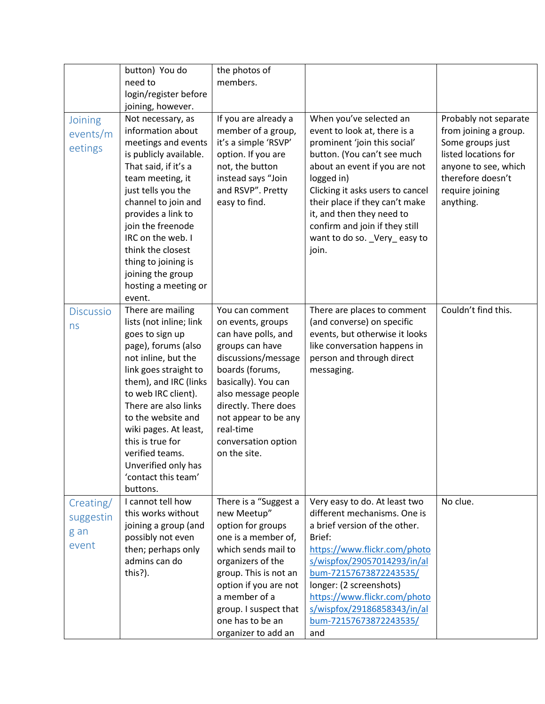|                  | button) You do                      | the photos of                       |                                  |                       |
|------------------|-------------------------------------|-------------------------------------|----------------------------------|-----------------------|
|                  | need to                             | members.                            |                                  |                       |
|                  | login/register before               |                                     |                                  |                       |
|                  | joining, however.                   |                                     |                                  |                       |
| Joining          | Not necessary, as                   | If you are already a                | When you've selected an          | Probably not separate |
| events/m         | information about                   | member of a group,                  | event to look at, there is a     | from joining a group. |
|                  | meetings and events                 | it's a simple 'RSVP'                | prominent 'join this social'     | Some groups just      |
| eetings          | is publicly available.              | option. If you are                  | button. (You can't see much      | listed locations for  |
|                  | That said, if it's a                | not, the button                     | about an event if you are not    | anyone to see, which  |
|                  | team meeting, it                    | instead says "Join                  | logged in)                       | therefore doesn't     |
|                  | just tells you the                  | and RSVP". Pretty                   | Clicking it asks users to cancel | require joining       |
|                  | channel to join and                 | easy to find.                       | their place if they can't make   | anything.             |
|                  | provides a link to                  |                                     | it, and then they need to        |                       |
|                  | join the freenode                   |                                     | confirm and join if they still   |                       |
|                  | IRC on the web. I                   |                                     | want to do so. _Very_easy to     |                       |
|                  | think the closest                   |                                     | join.                            |                       |
|                  | thing to joining is                 |                                     |                                  |                       |
|                  | joining the group                   |                                     |                                  |                       |
|                  | hosting a meeting or                |                                     |                                  |                       |
|                  | event.                              |                                     |                                  |                       |
| <b>Discussio</b> | There are mailing                   | You can comment                     | There are places to comment      | Couldn't find this.   |
| ns               | lists (not inline; link             | on events, groups                   | (and converse) on specific       |                       |
|                  | goes to sign up                     | can have polls, and                 | events, but otherwise it looks   |                       |
|                  | page), forums (also                 | groups can have                     | like conversation happens in     |                       |
|                  | not inline, but the                 | discussions/message                 | person and through direct        |                       |
|                  | link goes straight to               | boards (forums,                     | messaging.                       |                       |
|                  | them), and IRC (links               | basically). You can                 |                                  |                       |
|                  | to web IRC client).                 | also message people                 |                                  |                       |
|                  | There are also links                | directly. There does                |                                  |                       |
|                  | to the website and                  | not appear to be any                |                                  |                       |
|                  | wiki pages. At least,               | real-time                           |                                  |                       |
|                  | this is true for<br>verified teams. | conversation option<br>on the site. |                                  |                       |
|                  | Unverified only has                 |                                     |                                  |                       |
|                  | 'contact this team'                 |                                     |                                  |                       |
|                  | buttons.                            |                                     |                                  |                       |
| Creating/        | I cannot tell how                   | There is a "Suggest a               | Very easy to do. At least two    | No clue.              |
| suggestin        | this works without                  | new Meetup"                         | different mechanisms. One is     |                       |
|                  | joining a group (and                | option for groups                   | a brief version of the other.    |                       |
| g an             | possibly not even                   | one is a member of,                 | Brief:                           |                       |
| event            | then; perhaps only                  | which sends mail to                 | https://www.flickr.com/photo     |                       |
|                  | admins can do                       | organizers of the                   | s/wispfox/29057014293/in/al      |                       |
|                  | this?).                             | group. This is not an               | bum-72157673872243535/           |                       |
|                  |                                     | option if you are not               | longer: (2 screenshots)          |                       |
|                  |                                     | a member of a                       | https://www.flickr.com/photo     |                       |
|                  |                                     | group. I suspect that               | s/wispfox/29186858343/in/al      |                       |
|                  |                                     | one has to be an                    | bum-72157673872243535/           |                       |
|                  |                                     | organizer to add an                 | and                              |                       |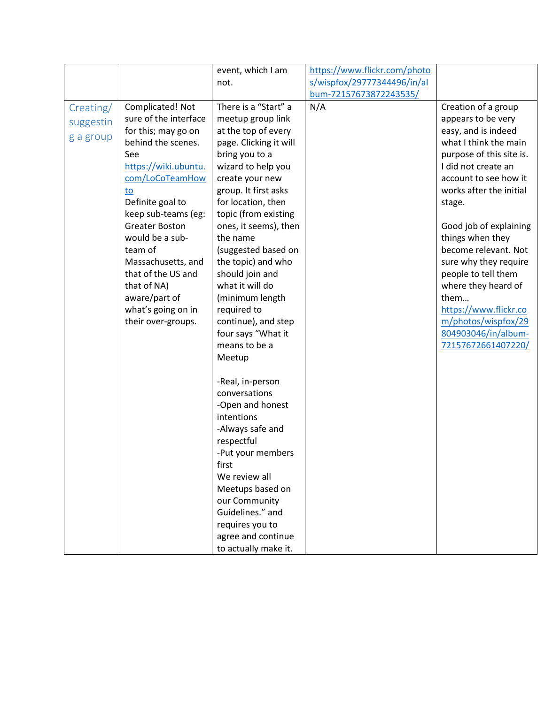|                                     |                                                                                                                                                                                                                                                                                                                                                                          | event, which I am                                                                                                                                                                                                                                                                                                                                                                                                                                                                                                                                                                           | https://www.flickr.com/photo |                                                                                                                                                                                                                                                                                                                                                                                                                                                              |
|-------------------------------------|--------------------------------------------------------------------------------------------------------------------------------------------------------------------------------------------------------------------------------------------------------------------------------------------------------------------------------------------------------------------------|---------------------------------------------------------------------------------------------------------------------------------------------------------------------------------------------------------------------------------------------------------------------------------------------------------------------------------------------------------------------------------------------------------------------------------------------------------------------------------------------------------------------------------------------------------------------------------------------|------------------------------|--------------------------------------------------------------------------------------------------------------------------------------------------------------------------------------------------------------------------------------------------------------------------------------------------------------------------------------------------------------------------------------------------------------------------------------------------------------|
|                                     |                                                                                                                                                                                                                                                                                                                                                                          | not.                                                                                                                                                                                                                                                                                                                                                                                                                                                                                                                                                                                        | s/wispfox/29777344496/in/al  |                                                                                                                                                                                                                                                                                                                                                                                                                                                              |
|                                     |                                                                                                                                                                                                                                                                                                                                                                          |                                                                                                                                                                                                                                                                                                                                                                                                                                                                                                                                                                                             | bum-72157673872243535/       |                                                                                                                                                                                                                                                                                                                                                                                                                                                              |
| Creating/<br>suggestin<br>g a group | Complicated! Not<br>sure of the interface<br>for this; may go on<br>behind the scenes.<br>See<br>https://wiki.ubuntu.<br>com/LoCoTeamHow<br>to<br>Definite goal to<br>keep sub-teams (eg:<br><b>Greater Boston</b><br>would be a sub-<br>team of<br>Massachusetts, and<br>that of the US and<br>that of NA)<br>aware/part of<br>what's going on in<br>their over-groups. | There is a "Start" a<br>meetup group link<br>at the top of every<br>page. Clicking it will<br>bring you to a<br>wizard to help you<br>create your new<br>group. It first asks<br>for location, then<br>topic (from existing<br>ones, it seems), then<br>the name<br>(suggested based on<br>the topic) and who<br>should join and<br>what it will do<br>(minimum length<br>required to<br>continue), and step<br>four says "What it<br>means to be a<br>Meetup<br>-Real, in-person<br>conversations<br>-Open and honest<br>intentions<br>-Always safe and<br>respectful<br>-Put your members | N/A                          | Creation of a group<br>appears to be very<br>easy, and is indeed<br>what I think the main<br>purpose of this site is.<br>I did not create an<br>account to see how it<br>works after the initial<br>stage.<br>Good job of explaining<br>things when they<br>become relevant. Not<br>sure why they require<br>people to tell them<br>where they heard of<br>them<br>https://www.flickr.co<br>m/photos/wispfox/29<br>804903046/in/album-<br>72157672661407220/ |
|                                     |                                                                                                                                                                                                                                                                                                                                                                          | first<br>We review all<br>Meetups based on<br>our Community<br>Guidelines." and                                                                                                                                                                                                                                                                                                                                                                                                                                                                                                             |                              |                                                                                                                                                                                                                                                                                                                                                                                                                                                              |
|                                     |                                                                                                                                                                                                                                                                                                                                                                          | requires you to<br>agree and continue<br>to actually make it.                                                                                                                                                                                                                                                                                                                                                                                                                                                                                                                               |                              |                                                                                                                                                                                                                                                                                                                                                                                                                                                              |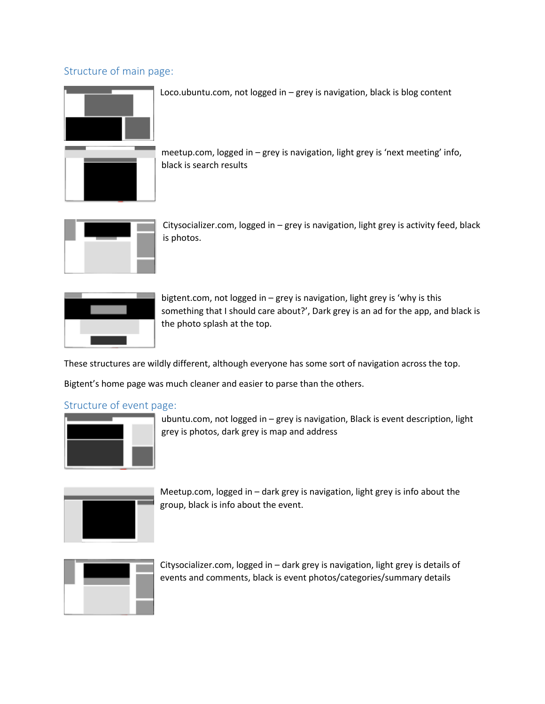## Structure of main page:



Loco.ubuntu.com, not logged in – grey is navigation, black is blog content

meetup.com, logged in – grey is navigation, light grey is 'next meeting' info, black is search results



Citysocializer.com, logged in – grey is navigation, light grey is activity feed, black is photos.



bigtent.com, not logged in – grey is navigation, light grey is 'why is this something that I should care about?', Dark grey is an ad for the app, and black is the photo splash at the top.

These structures are wildly different, although everyone has some sort of navigation across the top.

Bigtent's home page was much cleaner and easier to parse than the others.

#### Structure of event page:



ubuntu.com, not logged in – grey is navigation, Black is event description, light grey is photos, dark grey is map and address



Meetup.com, logged in – dark grey is navigation, light grey is info about the group, black is info about the event.



Citysocializer.com, logged in – dark grey is navigation, light grey is details of events and comments, black is event photos/categories/summary details